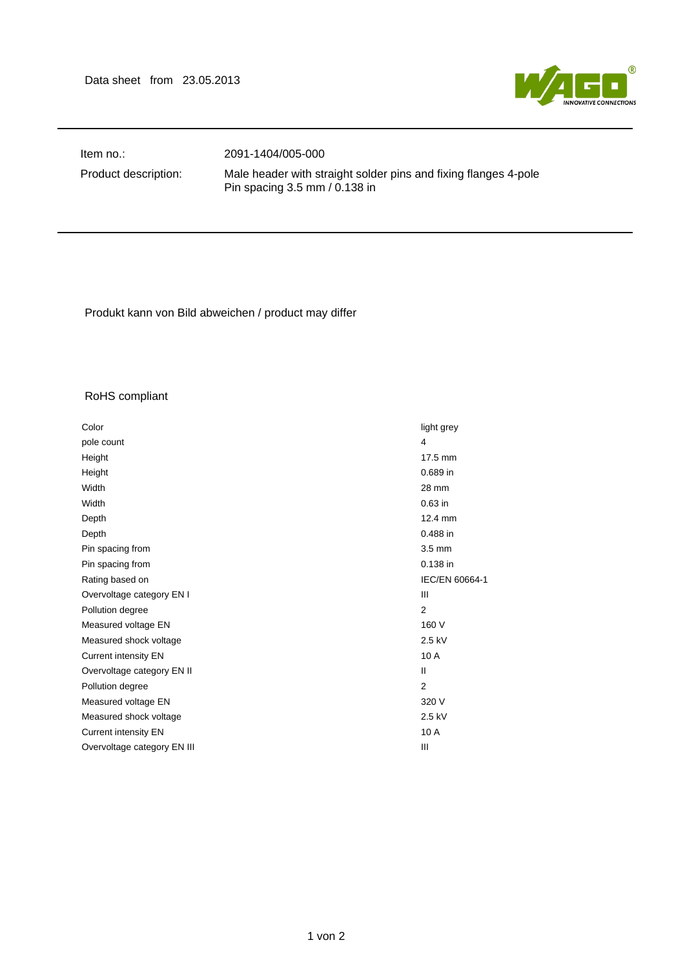Data sheet from 23.05.2013



Item no.: 2091-1404/005-000

Product description: Male header with straight solder pins and fixing flanges 4-pole Pin spacing 3.5 mm / 0.138 in

Produkt kann von Bild abweichen / product may differ

## RoHS compliant

| Color                       | light grey     |
|-----------------------------|----------------|
| pole count                  | $\overline{4}$ |
| Height                      | 17.5 mm        |
| Height                      | 0.689 in       |
| Width                       | 28 mm          |
| Width                       | 0.63 in        |
| Depth                       | 12.4 mm        |
| Depth                       | 0.488 in       |
| Pin spacing from            | 3.5 mm         |
| Pin spacing from            | 0.138 in       |
| Rating based on             | IEC/EN 60664-1 |
| Overvoltage category EN I   | Ш              |
| Pollution degree            | $\overline{2}$ |
| Measured voltage EN         | 160 V          |
| Measured shock voltage      | 2.5 kV         |
| <b>Current intensity EN</b> | 10 A           |
| Overvoltage category EN II  | $\mathbf{I}$   |
| Pollution degree            | $\overline{2}$ |
| Measured voltage EN         | 320 V          |
| Measured shock voltage      | 2.5 kV         |
| Current intensity EN        | 10 A           |
| Overvoltage category EN III | Ш              |